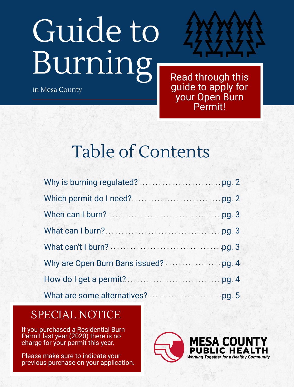# Guide to Burning

in Mesa County



Read through this guide to apply for your Open Burn Permit!

Table of Contents

### SPECIAL NOTICE

If you purchased a Residential Burn Permit last year (2020) there is no charge for your permit this year.

Please make sure to indicate your previous purchase on your application.

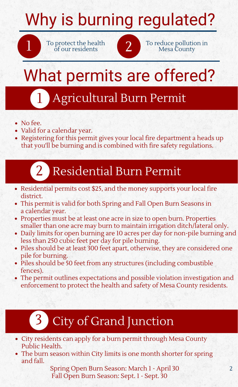# Why is burning regulated?

To protect the health



To protect the health of our residents of  $\begin{array}{|c|c|c|c|}\hline \textbf{1} & \textbf{0} & \textbf{0} & \textbf{0} & \textbf{0} & \textbf{0} & \textbf{0} & \textbf{0} & \textbf{0} & \textbf{0} & \textbf{0} & \textbf{0} & \textbf{0} & \textbf{0} & \textbf{0} & \textbf{0} & \textbf{0} & \textbf{0} & \textbf{0} & \textbf{0} & \textbf{0} & \textbf{0} & \textbf{0} & \$ 

# What permits are offered?

## Agricultural Burn Permit

• No fee.

1

- Valid for a calendar year.
- Registering for this permit gives your local fire department a heads up that you'll be burning and is combined with fire safety regulations.

## 2 Residential Burn Permit

- Residential permits cost \$25, and the money supports your local fire district.
- This permit is valid for both Spring and Fall Open Burn Seasons in a calendar year.
- Properties must be at least one acre in size to open burn. Properties smaller than one acre may burn to maintain irrigation ditch/lateral only.
- Daily limits for open burning are 10 acres per day for non-pile burning and less than 250 cubic feet per day for pile burning.
- Piles should be at least 300 feet apart, otherwise, they are considered one pile for burning.
- Piles should be 50 feet from any structures (including combustible fences).
- The permit outlines expectations and possible violation investigation and enforcement to protect the health and safety of Mesa County residents.

## City of Grand Junction

- City residents can apply for a burn permit through Mesa County Public Health.
- The burn season within City limits is one month shorter for spring and fall.

Spring Open Burn Season: March 1 - April 30 Fall Open Burn Season: Sept. 1 - Sept. 30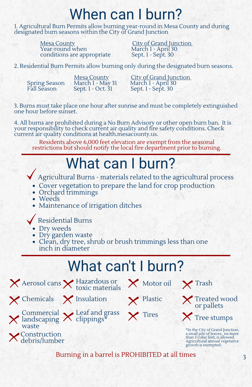## When can I burn?

1. Agricultural Burn Permits allow burning year-round in Mesa County and during designated burn seasons within the City of Grand Junction

> <u>Mesa County</u> City of Grand Junction Year-round when March 1 - April 30 conditions are appropriate Sept. 1 - Sept. 30

2. Residential Burn Permits allow burning only during the designated burn seasons.

Spring Season March 1 - May<br>Fall Season Sept. 1 - Oct. 31

Mesa County<br>March 1 - May 31 March 1 - April 30 Sept. 1 - Sept. 30

3. Burns must take place one hour after sunrise and must be completely extinguished one hour before sunset.

4. All burns are prohibited during a No Burn Advisory or other open burn ban. It is your responsibility to check current air quality and fire safety conditions. Check current air quality conditions at health.mesacounty.us.

Residents above 6,000 feet elevation are exempt from the seasonal restrictions but should notify the local fire department prior to burning.

### What can I burn?

Agricultural Burns - materials related to the agricultural process

- Cover vegetation to prepare the land for crop production
- Orchard trimmings
- Weeds
- Maintenance of irrigation ditches

### Residential Burns

- Dry weeds
- Dry garden waste
- Clean, dry tree, shrub or brush trimmings less than one inch in diameter

### What can't I burn?



**Construction** debris/lumber

waste





Hazardous or





 $\times$  Trash





\*In the City of Grand Junction, a small pile of leaves, no more than 3 cubic feet, is allowed. Agricultural annual vegetative growth is exempted.

Burning in a barrel is PROHIBITED at all times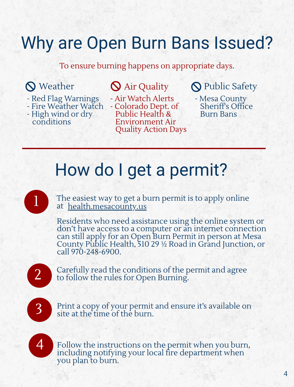### Why are Open Burn Bans Issued?

To ensure burning happens on appropriate days.

- Red Flag Warnings
- Fire Weather Watch
- High wind or dry conditions

- Air Watch Alerts - Colorado Dept. of Public Health & Environment Air

Quality Action Days

### **Q** Weather **Q** Air Quality **Q** Public Safety

- Mesa County Sheriff's Office Burn Bans

### How do I get a permit?

The easiest way to get a burn permit is to apply online at [health.mesacounty.us](https://apps.mesacounty.us/BurnPermits/Form)

Residents who need assistance using the online system or don't have access to a computer or an internet connection can still apply for an Open Burn Permit in person at Mesa County Public Health, 510 29 ½ Road in Grand Junction, or call 970-248-6900.

2

1

Carefully read the conditions of the permit and agree to follow the rules for Open Burning.

3

Print a copy of your permit and ensure it's available on site at the time of the burn.



Follow the instructions on the permit when you burn, including notifying your local fire department when you plan to burn.